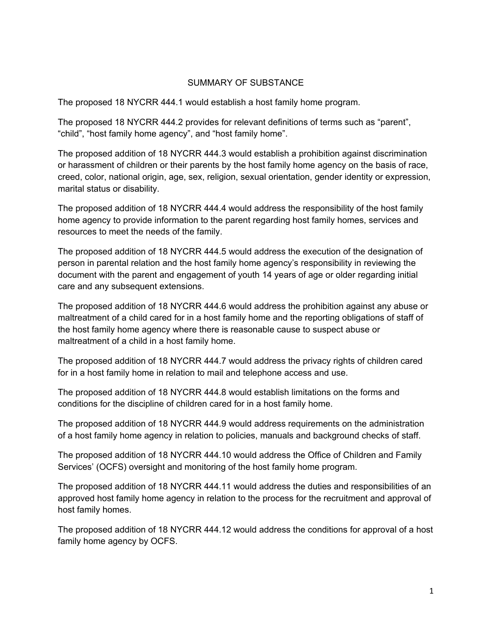## SUMMARY OF SUBSTANCE

The proposed 18 NYCRR 444.1 would establish a host family home program.

The proposed 18 NYCRR 444.2 provides for relevant definitions of terms such as "parent", "child", "host family home agency", and "host family home".

The proposed addition of 18 NYCRR 444.3 would establish a prohibition against discrimination or harassment of children or their parents by the host family home agency on the basis of race, creed, color, national origin, age, sex, religion, sexual orientation, gender identity or expression, marital status or disability.

The proposed addition of 18 NYCRR 444.4 would address the responsibility of the host family home agency to provide information to the parent regarding host family homes, services and resources to meet the needs of the family.

The proposed addition of 18 NYCRR 444.5 would address the execution of the designation of person in parental relation and the host family home agency's responsibility in reviewing the document with the parent and engagement of youth 14 years of age or older regarding initial care and any subsequent extensions.

The proposed addition of 18 NYCRR 444.6 would address the prohibition against any abuse or maltreatment of a child cared for in a host family home and the reporting obligations of staff of the host family home agency where there is reasonable cause to suspect abuse or maltreatment of a child in a host family home.

The proposed addition of 18 NYCRR 444.7 would address the privacy rights of children cared for in a host family home in relation to mail and telephone access and use.

The proposed addition of 18 NYCRR 444.8 would establish limitations on the forms and conditions for the discipline of children cared for in a host family home.

The proposed addition of 18 NYCRR 444.9 would address requirements on the administration of a host family home agency in relation to policies, manuals and background checks of staff.

The proposed addition of 18 NYCRR 444.10 would address the Office of Children and Family Services' (OCFS) oversight and monitoring of the host family home program.

The proposed addition of 18 NYCRR 444.11 would address the duties and responsibilities of an approved host family home agency in relation to the process for the recruitment and approval of host family homes.

The proposed addition of 18 NYCRR 444.12 would address the conditions for approval of a host family home agency by OCFS.